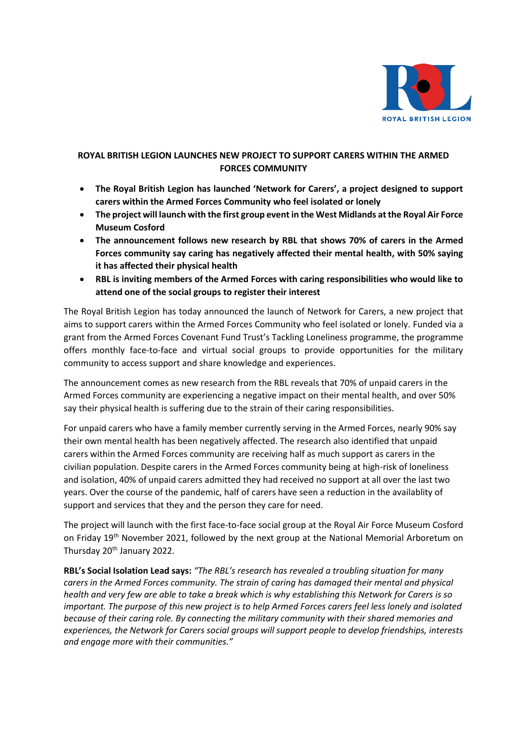

# **ROYAL BRITISH LEGION LAUNCHES NEW PROJECT TO SUPPORT CARERS WITHIN THE ARMED FORCES COMMUNITY**

- **The Royal British Legion has launched 'Network for Carers', a project designed to support carers within the Armed Forces Community who feel isolated or lonely**
- **The project will launch with the first group event in the West Midlands at the Royal Air Force Museum Cosford**
- **The announcement follows new research by RBL that shows 70% of carers in the Armed Forces community say caring has negatively affected their mental health, with 50% saying it has affected their physical health**
- **RBL is inviting members of the Armed Forces with caring responsibilities who would like to attend one of the social groups to register their interest**

The Royal British Legion has today announced the launch of Network for Carers, a new project that aims to support carers within the Armed Forces Community who feel isolated or lonely. Funded via a grant from the Armed Forces Covenant Fund Trust's Tackling Loneliness programme, the programme offers monthly face-to-face and virtual social groups to provide opportunities for the military community to access support and share knowledge and experiences.

The announcement comes as new research from the RBL reveals that 70% of unpaid carers in the Armed Forces community are experiencing a negative impact on their mental health, and over 50% say their physical health is suffering due to the strain of their caring responsibilities.

For unpaid carers who have a family member currently serving in the Armed Forces, nearly 90% say their own mental health has been negatively affected. The research also identified that unpaid carers within the Armed Forces community are receiving half as much support as carers in the civilian population. Despite carers in the Armed Forces community being at high-risk of loneliness and isolation, 40% of unpaid carers admitted they had received no support at all over the last two years. Over the course of the pandemic, half of carers have seen a reduction in the availablity of support and services that they and the person they care for need.

The project will launch with the first face-to-face social group at the Royal Air Force Museum Cosford on Friday 19<sup>th</sup> November 2021, followed by the next group at the National Memorial Arboretum on Thursday 20<sup>th</sup> January 2022.

**RBL's Social Isolation Lead says:** *"The RBL's research has revealed a troubling situation for many carers in the Armed Forces community. The strain of caring has damaged their mental and physical health and very few are able to take a break which is why establishing this Network for Carers is so important. The purpose of this new project is to help Armed Forces carers feel less lonely and isolated because of their caring role. By connecting the military community with their shared memories and experiences, the Network for Carers social groups will support people to develop friendships, interests and engage more with their communities."*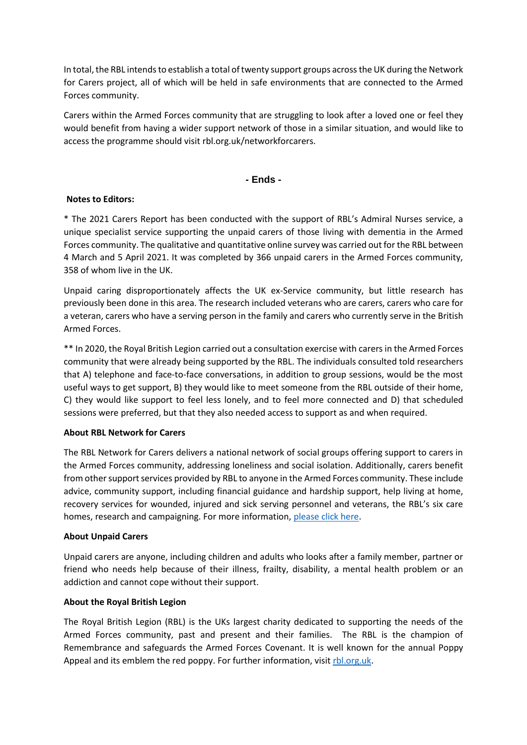In total, the RBL intends to establish a total of twenty support groups across the UK during the Network for Carers project, all of which will be held in safe environments that are connected to the Armed Forces community.

Carers within the Armed Forces community that are struggling to look after a loved one or feel they would benefit from having a wider support network of those in a similar situation, and would like to access the programme should visit rbl.org.uk/networkforcarers.

## **- Ends -**

### **Notes to Editors:**

\* The 2021 Carers Report has been conducted with the support of RBL's Admiral Nurses service, a unique specialist service supporting the unpaid carers of those living with dementia in the Armed Forces community. The qualitative and quantitative online survey was carried out for the RBL between 4 March and 5 April 2021. It was completed by 366 unpaid carers in the Armed Forces community, 358 of whom live in the UK.

Unpaid caring disproportionately affects the UK ex-Service community, but little research has previously been done in this area. The research included veterans who are carers, carers who care for a veteran, carers who have a serving person in the family and carers who currently serve in the British Armed Forces.

\*\* In 2020, the Royal British Legion carried out a consultation exercise with carers in the Armed Forces community that were already being supported by the RBL. The individuals consulted told researchers that A) telephone and face-to-face conversations, in addition to group sessions, would be the most useful ways to get support, B) they would like to meet someone from the RBL outside of their home, C) they would like support to feel less lonely, and to feel more connected and D) that scheduled sessions were preferred, but that they also needed access to support as and when required.

### **About RBL Network for Carers**

The RBL Network for Carers delivers a national network of social groups offering support to carers in the Armed Forces community, addressing loneliness and social isolation. Additionally, carers benefit from other support services provided by RBL to anyone in the Armed Forces community. These include advice, community support, including financial guidance and hardship support, help living at home, recovery services for wounded, injured and sick serving personnel and veterans, the RBL's six care homes, research and campaigning. For more information[, please click here.](https://www.britishlegion.org.uk/get-support/care-and-independent-living/support-for-carers/network-for-carers/network-for-carers-volunteers)

### **About Unpaid Carers**

Unpaid carers are anyone, including children and adults who looks after a family member, partner or friend who needs help because of their illness, frailty, disability, a mental health problem or an addiction and cannot cope without their support.

### **About the Royal British Legion**

The Royal British Legion (RBL) is the UKs largest charity dedicated to supporting the needs of the Armed Forces community, past and present and their families. The RBL is the champion of Remembrance and safeguards the Armed Forces Covenant. It is well known for the annual Poppy Appeal and its emblem the red poppy. For further information, visit [rbl.org.uk.](http://www.rbl.org.uk/)